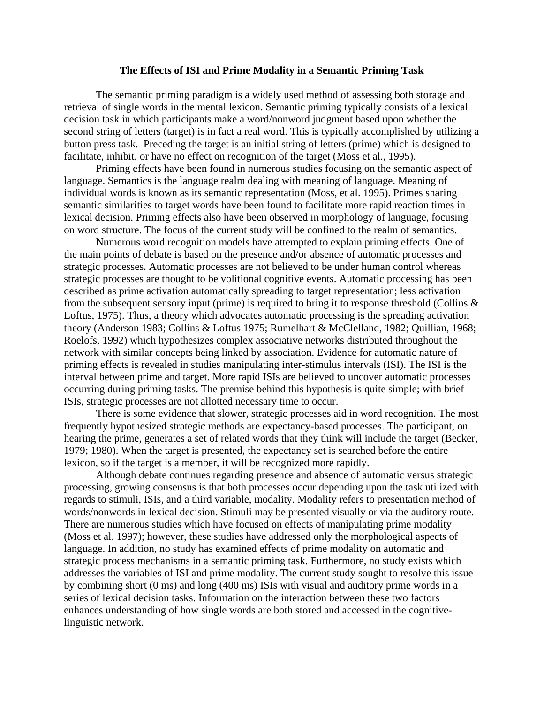## **The Effects of ISI and Prime Modality in a Semantic Priming Task**

The semantic priming paradigm is a widely used method of assessing both storage and retrieval of single words in the mental lexicon. Semantic priming typically consists of a lexical decision task in which participants make a word/nonword judgment based upon whether the second string of letters (target) is in fact a real word. This is typically accomplished by utilizing a button press task. Preceding the target is an initial string of letters (prime) which is designed to facilitate, inhibit, or have no effect on recognition of the target (Moss et al., 1995).

Priming effects have been found in numerous studies focusing on the semantic aspect of language. Semantics is the language realm dealing with meaning of language. Meaning of individual words is known as its semantic representation (Moss, et al. 1995). Primes sharing semantic similarities to target words have been found to facilitate more rapid reaction times in lexical decision. Priming effects also have been observed in morphology of language, focusing on word structure. The focus of the current study will be confined to the realm of semantics.

Numerous word recognition models have attempted to explain priming effects. One of the main points of debate is based on the presence and/or absence of automatic processes and strategic processes. Automatic processes are not believed to be under human control whereas strategic processes are thought to be volitional cognitive events. Automatic processing has been described as prime activation automatically spreading to target representation; less activation from the subsequent sensory input (prime) is required to bring it to response threshold (Collins & Loftus, 1975). Thus, a theory which advocates automatic processing is the spreading activation theory (Anderson 1983; Collins & Loftus 1975; Rumelhart & McClelland, 1982; Quillian, 1968; Roelofs, 1992) which hypothesizes complex associative networks distributed throughout the network with similar concepts being linked by association. Evidence for automatic nature of priming effects is revealed in studies manipulating inter-stimulus intervals (ISI). The ISI is the interval between prime and target. More rapid ISIs are believed to uncover automatic processes occurring during priming tasks. The premise behind this hypothesis is quite simple; with brief ISIs, strategic processes are not allotted necessary time to occur.

There is some evidence that slower, strategic processes aid in word recognition. The most frequently hypothesized strategic methods are expectancy-based processes. The participant, on hearing the prime, generates a set of related words that they think will include the target (Becker, 1979; 1980). When the target is presented, the expectancy set is searched before the entire lexicon, so if the target is a member, it will be recognized more rapidly.

Although debate continues regarding presence and absence of automatic versus strategic processing, growing consensus is that both processes occur depending upon the task utilized with regards to stimuli, ISIs, and a third variable, modality. Modality refers to presentation method of words/nonwords in lexical decision. Stimuli may be presented visually or via the auditory route. There are numerous studies which have focused on effects of manipulating prime modality (Moss et al. 1997); however, these studies have addressed only the morphological aspects of language. In addition, no study has examined effects of prime modality on automatic and strategic process mechanisms in a semantic priming task. Furthermore, no study exists which addresses the variables of ISI and prime modality. The current study sought to resolve this issue by combining short (0 ms) and long (400 ms) ISIs with visual and auditory prime words in a series of lexical decision tasks. Information on the interaction between these two factors enhances understanding of how single words are both stored and accessed in the cognitivelinguistic network.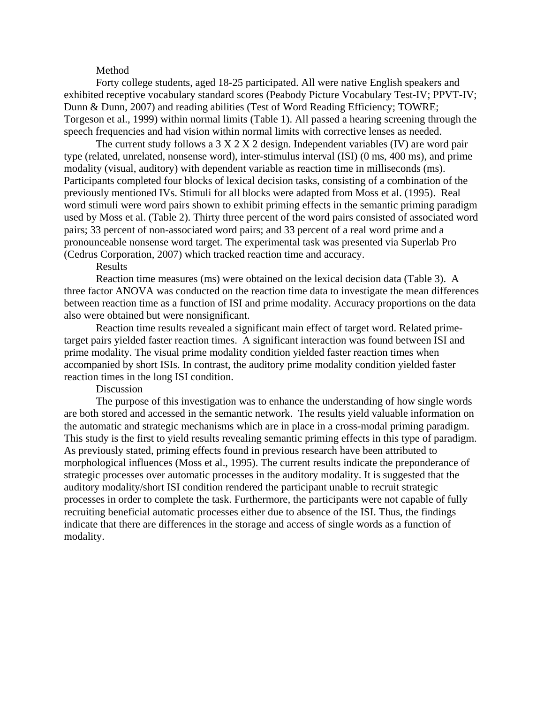## Method

Forty college students, aged 18-25 participated. All were native English speakers and exhibited receptive vocabulary standard scores (Peabody Picture Vocabulary Test-IV; PPVT-IV; Dunn & Dunn, 2007) and reading abilities (Test of Word Reading Efficiency; TOWRE; Torgeson et al., 1999) within normal limits (Table 1). All passed a hearing screening through the speech frequencies and had vision within normal limits with corrective lenses as needed.

The current study follows a  $3 \times 2 \times 2$  design. Independent variables (IV) are word pair type (related, unrelated, nonsense word), inter-stimulus interval (ISI) (0 ms, 400 ms), and prime modality (visual, auditory) with dependent variable as reaction time in milliseconds (ms). Participants completed four blocks of lexical decision tasks, consisting of a combination of the previously mentioned IVs. Stimuli for all blocks were adapted from Moss et al. (1995). Real word stimuli were word pairs shown to exhibit priming effects in the semantic priming paradigm used by Moss et al. (Table 2). Thirty three percent of the word pairs consisted of associated word pairs; 33 percent of non-associated word pairs; and 33 percent of a real word prime and a pronounceable nonsense word target. The experimental task was presented via Superlab Pro (Cedrus Corporation, 2007) which tracked reaction time and accuracy.

# Results

Reaction time measures (ms) were obtained on the lexical decision data (Table 3). A three factor ANOVA was conducted on the reaction time data to investigate the mean differences between reaction time as a function of ISI and prime modality. Accuracy proportions on the data also were obtained but were nonsignificant.

Reaction time results revealed a significant main effect of target word. Related primetarget pairs yielded faster reaction times. A significant interaction was found between ISI and prime modality. The visual prime modality condition yielded faster reaction times when accompanied by short ISIs. In contrast, the auditory prime modality condition yielded faster reaction times in the long ISI condition.

#### Discussion

The purpose of this investigation was to enhance the understanding of how single words are both stored and accessed in the semantic network. The results yield valuable information on the automatic and strategic mechanisms which are in place in a cross-modal priming paradigm. This study is the first to yield results revealing semantic priming effects in this type of paradigm. As previously stated, priming effects found in previous research have been attributed to morphological influences (Moss et al., 1995). The current results indicate the preponderance of strategic processes over automatic processes in the auditory modality. It is suggested that the auditory modality/short ISI condition rendered the participant unable to recruit strategic processes in order to complete the task. Furthermore, the participants were not capable of fully recruiting beneficial automatic processes either due to absence of the ISI. Thus, the findings indicate that there are differences in the storage and access of single words as a function of modality.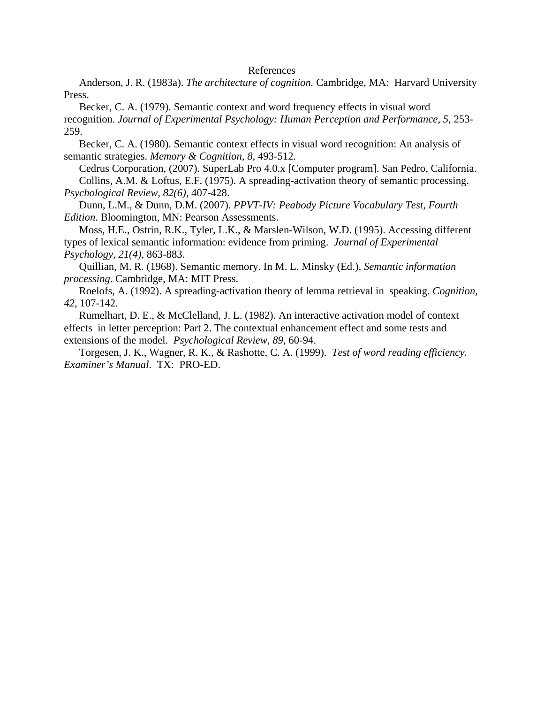## References

Anderson, J. R. (1983a). *The architecture of cognition.* Cambridge, MA: Harvard University Press.

Becker, C. A. (1979). Semantic context and word frequency effects in visual word recognition. *Journal of Experimental Psychology: Human Perception and Performance, 5*, 253- 259.

Becker, C. A. (1980). Semantic context effects in visual word recognition: An analysis of semantic strategies. *Memory & Cognition, 8*, 493-512.

Cedrus Corporation, (2007). SuperLab Pro 4.0.x [Computer program]. San Pedro, California. Collins, A.M. & Loftus, E.F. (1975). A spreading-activation theory of semantic processing. *Psychological Review, 82(6)*, 407-428.

Dunn, L.M., & Dunn, D.M. (2007). *PPVT-IV: Peabody Picture Vocabulary Test, Fourth Edition*. Bloomington, MN: Pearson Assessments.

Moss, H.E., Ostrin, R.K., Tyler, L.K., & Marslen-Wilson, W.D. (1995). Accessing different types of lexical semantic information: evidence from priming. *Journal of Experimental Psychology, 21(4)*, 863-883.

Quillian, M. R. (1968). Semantic memory. In M. L. Minsky (Ed.), *Semantic information processing*. Cambridge, MA: MIT Press.

Roelofs, A. (1992). A spreading-activation theory of lemma retrieval in speaking. *Cognition, 42*, 107-142.

Rumelhart, D. E., & McClelland, J. L. (1982). An interactive activation model of context effects in letter perception: Part 2. The contextual enhancement effect and some tests and extensions of the model. *Psychological Review, 89*, 60-94.

Torgesen, J. K., Wagner, R. K., & Rashotte, C. A. (1999). *Test of word reading efficiency. Examiner's Manual*. TX: PRO-ED.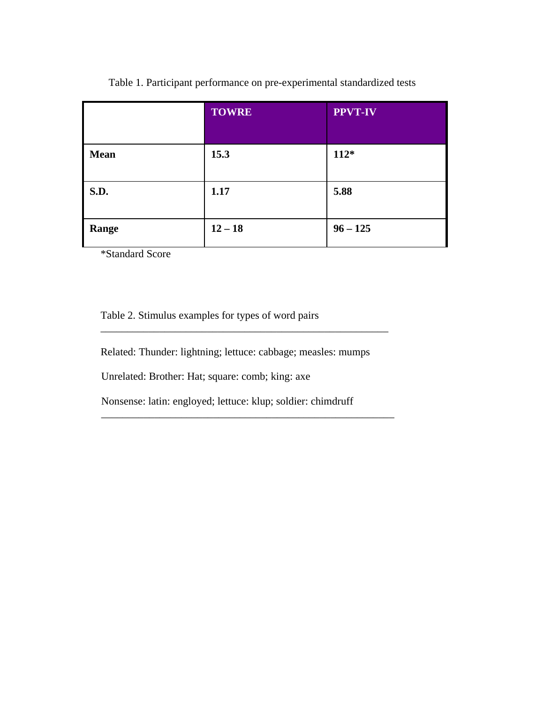|             | <b>TOWRE</b> | <b>PPVT-IV</b> |
|-------------|--------------|----------------|
| <b>Mean</b> | 15.3         | $112*$         |
| <b>S.D.</b> | 1.17         | 5.88           |
| Range       | $12 - 18$    | $96 - 125$     |

Table 1. Participant performance on pre-experimental standardized tests

\*Standard Score

Table 2. Stimulus examples for types of word pairs

Related: Thunder: lightning; lettuce: cabbage; measles: mumps

\_\_\_\_\_\_\_\_\_\_\_\_\_\_\_\_\_\_\_\_\_\_\_\_\_\_\_\_\_\_\_\_\_\_\_\_\_\_\_\_\_\_\_\_\_\_\_\_\_\_\_\_\_\_

Unrelated: Brother: Hat; square: comb; king: axe

 Nonsense: latin: engloyed; lettuce: klup; soldier: chimdruff \_\_\_\_\_\_\_\_\_\_\_\_\_\_\_\_\_\_\_\_\_\_\_\_\_\_\_\_\_\_\_\_\_\_\_\_\_\_\_\_\_\_\_\_\_\_\_\_\_\_\_\_\_\_\_